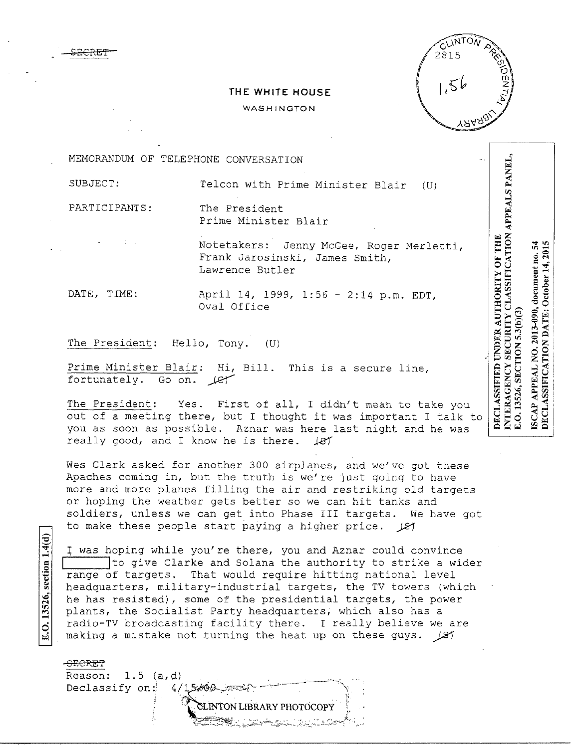

## **THE WHITE HOUSE**

## WASHINGTON

MEMORANDUM OF TELEPHONE CONVERSATION

SUBJECT: Telcon with Prime Minister Blair (U)

PARTICIPANTS: The President

£ECREf

Prime Minister Blair

Notetakers: Jenny McGee, Roger Merletti, Frank Jarosinski, James Smith, Lawrence Butler

DATE, TIME: April 14, 1999, 1:56 - 2:14 p.m. EDT, Oval Office

The President: Hello, Tony. (U)

Prime Minister Blair: Hi, Bill. This is a secure line, fortunately. Go on. Let

The President: Yes. First of all, I didn't mean to take you out of a meeting there, but I thought it was important I talk to you as soon as possible. Aznar was here last night and he was really good, and I know he is there.  $\sqrt{81}$ 

Wes Clark asked for another 300 airplanes, and we've got these Apaches coming in, but the truth is we're just going to have more and more planes filling the air and restriking old targets or hoping the weather gets better so we can hit tanks and soldiers, unless we can get into Phase III targets. We have got to make these people start paying a higher price.  $\cancel{27}$ 

I was hoping while you're there, you and Aznar could convince The give Clarke and Solana the authority to strike a wider range of targets. That would require hitting national level headquarters, military-industrial targets, the TV towers (which he has resisted), some of the presidential targets, the power plants, the Socialist Party headquarters, which also has a radio-TV broadcasting facility there. I really believe we are making a mistake not turning the heat up on these guys.  $\sqrt{21}$ 

> .<br>NTON LIBRARY PHOTOCOPY. \* <u>\* Zarang (and and an</u>d and an<sup>t</sup> i<sub>n</sub> ...

SECRET

E.O. 13526, section 1.4(d)

Reason:  $1.5$  (a,d) Declassify on:  $4/1$ 

DECLASSIFICATION DATE: October 14, 2015 54 APPEAL NO. 2013-090, document no. E.O. 13526, SECTION 5.3(b)(3) ISCAP.

INTERAGENCY SECURITY CLASSIFICATION APPEALS PANEL,

DECLASSIFIED UNDER AUTHORITY OF THE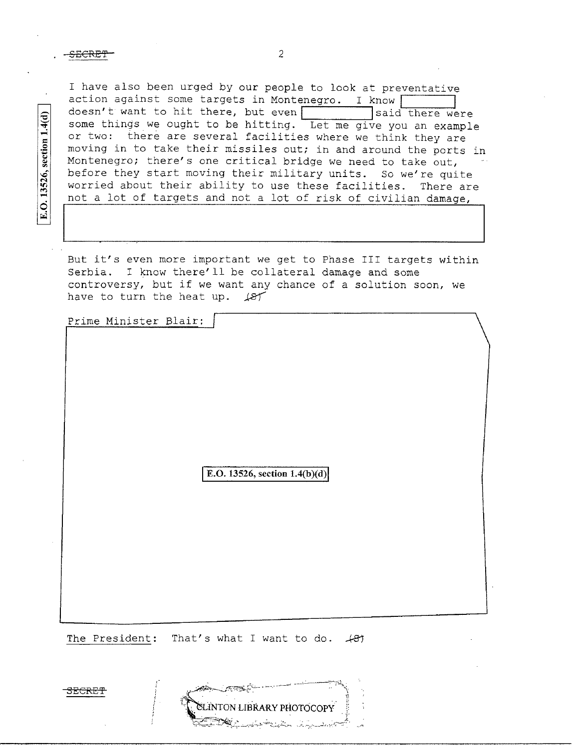E.O. 13526, section 1.4(d)

I have also been urged by our people to look at preventative action against some targets in Montenegro. I know  $\overline{\hspace{1cm}}$  doesn't want to hit there, but even  $\overline{\hspace{1cm}}$  said there were doesn't want to hit there, but even some things we ought to be hitting. Let me give you an example or two: there are several facilities where we think they are moving in to take their missiles out; in and around the ports in Montenegro; there's one critical bridge we need to take out, before they start moving their military units. So we're quite worried about their ability to use these facilities. There are not a lot of targets and not a lot of risk of civilian damage,

But it's even more important we get to Phase III targets within Serbia. I know there'll be collateral damage and some controversy, but if we want any chance of a solution soon, we have to turn the heat up.  $\cancel{.}$ 

Prime Minister Blair:

**E.O. 13526, section 1.4(b)(d)** 

The President: That's what I want to do.  $\angle$ B7

SECRE'f'

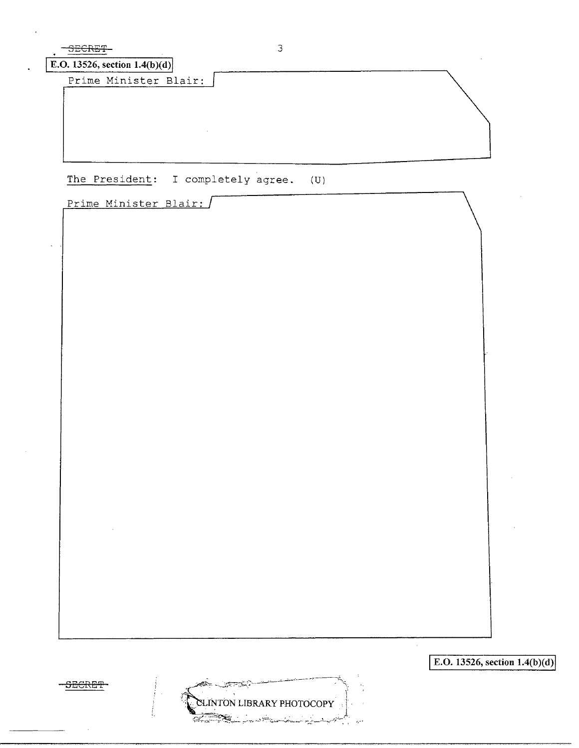| Prime Minister Blair: | E.O. 13526, section $1.4(b)(d)$ |  |
|-----------------------|---------------------------------|--|
|                       |                                 |  |
|                       |                                 |  |
|                       |                                 |  |
|                       |                                 |  |

 $E.O. 13526, section 1.4(b)(d)$ 

 $\mathcal{A}$ 



 $\ddot{\phantom{a}}$ 

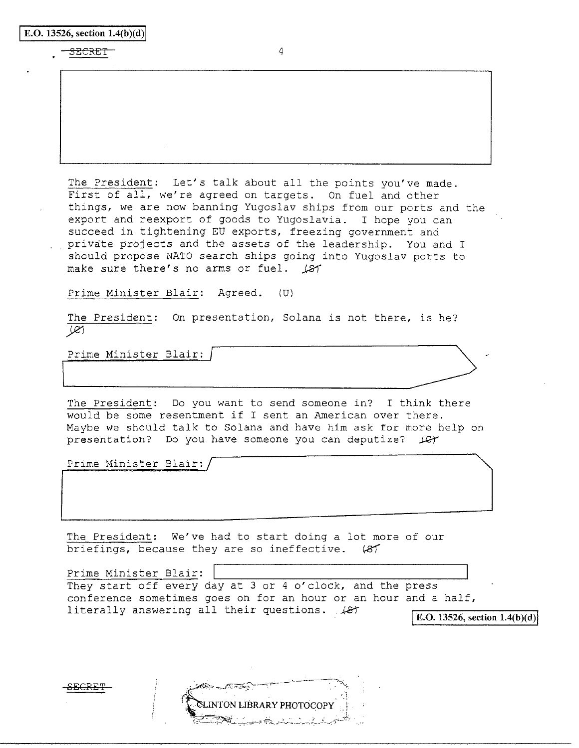|  |  | E.O. 13526, section $1.4(b)(d)$ |  |
|--|--|---------------------------------|--|

## SECRET<sup>-</sup>

The President: Let's talk about all the points you've made. First of all, we're agreed on targets. On fuel and other things, we are now banning Yugoslav ships from our ports and the export and reexport of goods to Yugoslavia. I hope you can succeed in tightening EU exports, freezing government and private projects and the assets of the leadership. You and I should propose NATO search ships going into Yugoslav ports to make sure there's no arms or fuel. 187

Prime Minister Blair: Agreed. (U)

The President: On presentation, Solana is not there, is he? Je1

Prime Minister Blair:

The President: Do you want to send someone in? I think there would be some resentment if I sent an American over there. Maybe we should talk to Solana and have him ask for more help on presentation? Do you have someone you can deputize?  $\downarrow$  C

Prime Minister Blair:

The President: We've had to start doing a lot more of our briefings, because they are so ineffective.  $'87$ 

Prime Minister Blair: They start off every day at 3 or 4 o'clock, and the press conference sometimes goes on for an hour or an hour and a half, literally answering all their questions.  $\angle$   $\angle$ *B* $\angle$  **E.O.** 13526, section 1.4(b)(d)

LINTON LIBRARY PHOTOCOPY

**£EGRET**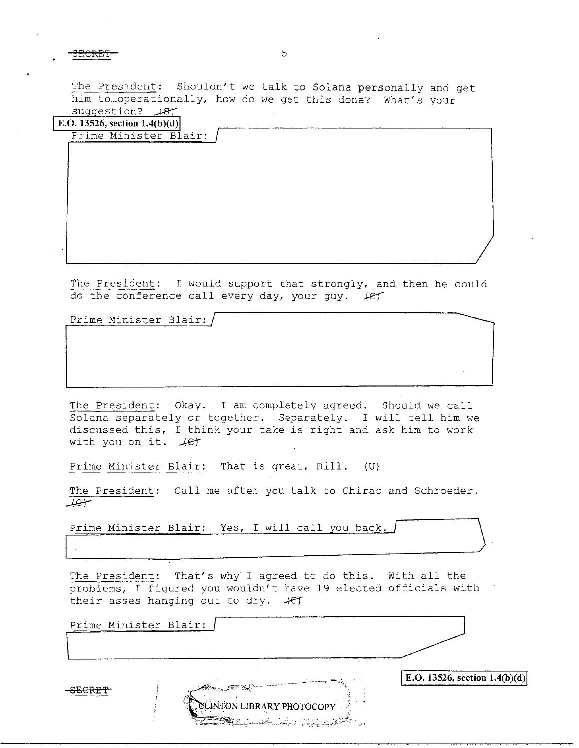3ECRE'f 5

The President: Shouldn't we talk to Solana personally and get him to...operationally, how do we get this done? What's your suggestion?  $\mathcal{A}$ 

|    | E.O. 13526, section $1.4(b)(d)$<br>Prime Minister Blair: |  |
|----|----------------------------------------------------------|--|
|    |                                                          |  |
|    |                                                          |  |
|    |                                                          |  |
|    |                                                          |  |
|    |                                                          |  |
|    |                                                          |  |
|    |                                                          |  |
|    |                                                          |  |
| ۰. |                                                          |  |
|    |                                                          |  |

The President: I would support that strongly, and then he could do the conference call every day, your guy. *let* 

Prime Minister Blair:

The President: Okay. I am completely agreed. Should we call Solana separately or together. Separately. I will tell him we discussed this, I think your take is right and ask him to work with you on it.  $4e^+$ 

Prime Minister Blair: That is great, Bill. (U}

The President: Call me after you talk to Chirac and Schroeder.<br>  $\overline{4C}$ 

Prime Minister Blair: Yes, I will call you back.

The President: That's why I agreed to do this. With all the their asses hanging out to dry.  $+e^+$ 

| problems, I figured you wouldn't have 19 elected officials with<br>their asses hanging out to dry. 4er |                                 |
|--------------------------------------------------------------------------------------------------------|---------------------------------|
| Prime Minister Blair:                                                                                  |                                 |
| <b>GLINTON LIBRARY PHOTOCOPY</b><br><u> Ballydaldi iliyin k</u>                                        | E.O. 13526, section $1.4(b)(d)$ |